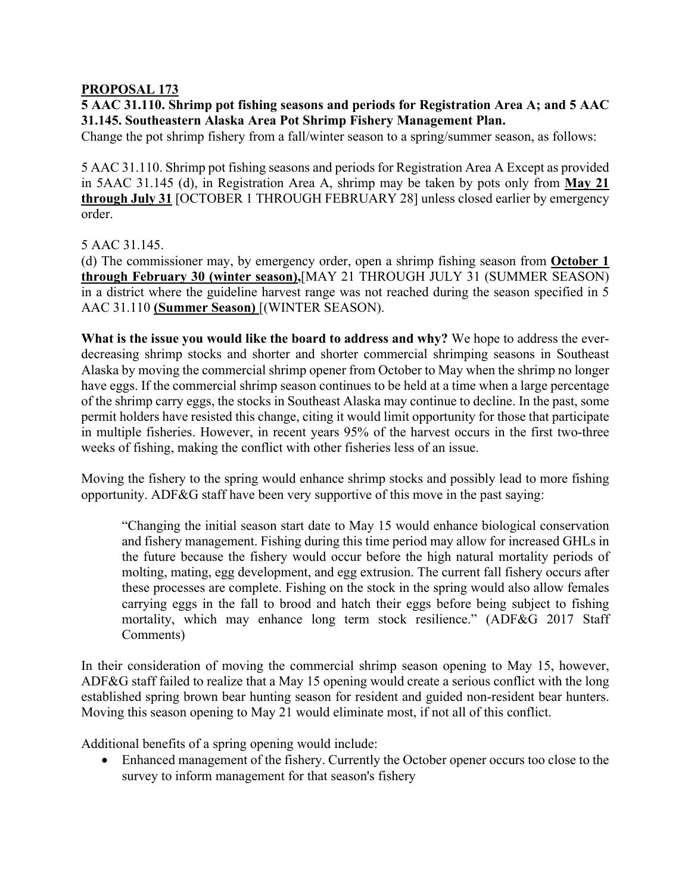## **PROPOSAL 173**

**5 AAC 31.110. Shrimp pot fishing seasons and periods for Registration Area A; and 5 AAC 31.145. Southeastern Alaska Area Pot Shrimp Fishery Management Plan.**

Change the pot shrimp fishery from a fall/winter season to a spring/summer season, as follows:

5 AAC 31.110. Shrimp pot fishing seasons and periods for Registration Area A Except as provided in 5AAC 31.145 (d), in Registration Area A, shrimp may be taken by pots only from **May 21 through July 31** [OCTOBER 1 THROUGH FEBRUARY 28] unless closed earlier by emergency order.

5 AAC 31.145.

(d) The commissioner may, by emergency order, open a shrimp fishing season from **October 1 through February 30 (winter season),**[MAY 21 THROUGH JULY 31 (SUMMER SEASON) in a district where the guideline harvest range was not reached during the season specified in 5 AAC 31.110 **(Summer Season)** [(WINTER SEASON).

**What is the issue you would like the board to address and why?** We hope to address the everdecreasing shrimp stocks and shorter and shorter commercial shrimping seasons in Southeast Alaska by moving the commercial shrimp opener from October to May when the shrimp no longer have eggs. If the commercial shrimp season continues to be held at a time when a large percentage of the shrimp carry eggs, the stocks in Southeast Alaska may continue to decline. In the past, some permit holders have resisted this change, citing it would limit opportunity for those that participate in multiple fisheries. However, in recent years 95% of the harvest occurs in the first two-three weeks of fishing, making the conflict with other fisheries less of an issue.

Moving the fishery to the spring would enhance shrimp stocks and possibly lead to more fishing opportunity. ADF&G staff have been very supportive of this move in the past saying:

"Changing the initial season start date to May 15 would enhance biological conservation and fishery management. Fishing during this time period may allow for increased GHLs in the future because the fishery would occur before the high natural mortality periods of molting, mating, egg development, and egg extrusion. The current fall fishery occurs after these processes are complete. Fishing on the stock in the spring would also allow females carrying eggs in the fall to brood and hatch their eggs before being subject to fishing mortality, which may enhance long term stock resilience." (ADF&G 2017 Staff Comments)

In their consideration of moving the commercial shrimp season opening to May 15, however, ADF&G staff failed to realize that a May 15 opening would create a serious conflict with the long established spring brown bear hunting season for resident and guided non-resident bear hunters. Moving this season opening to May 21 would eliminate most, if not all of this conflict.

Additional benefits of a spring opening would include:

• Enhanced management of the fishery. Currently the October opener occurs too close to the survey to inform management for that season's fishery